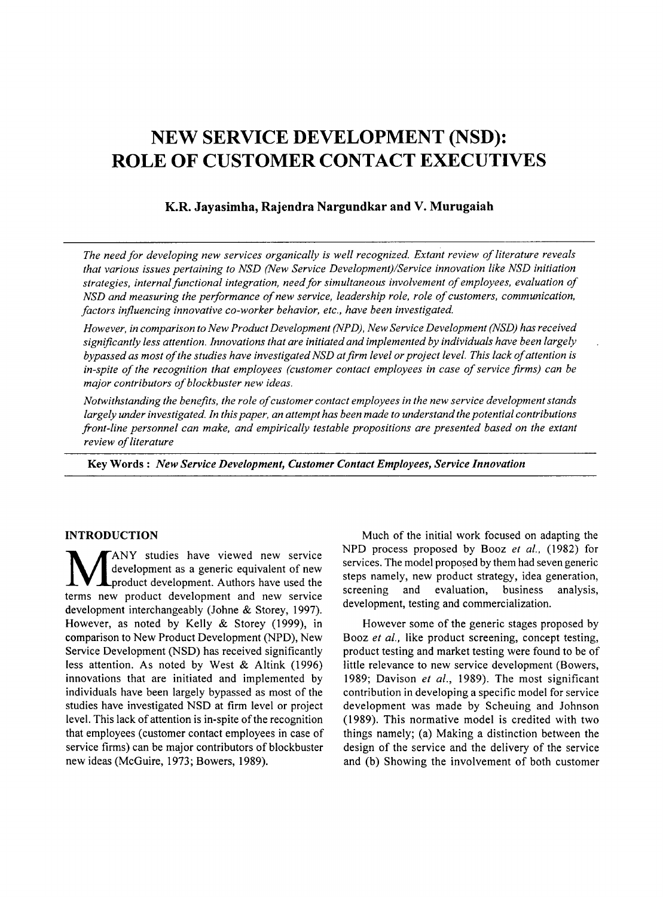# NEW SERVICE DEVELOPMENT (NSD): ROLE OF CUSTOMER CONTACT EXECUTIVES

# K.R. Jayasimha, Rajendra Nargundkar and V. Murugaiah

*The need for developing new services organically is well recognized. Extant review ofliterature reveals that various issues pertaining to NSD (New Service Development)/Service innovation like NSD initiation strategies, internalfunctional integration, needfor simultaneous involvement ofemployees, evaluation of NSD and measuring the performance ofnew service, leadership role, role ofcustomers, communication, factors influencing innovative co-worker behavior, etc., have been investigated.*

*However, in comparison to New Product Development (NPD), New Service Development (NSD) has received significantly less attention. Innovations that are initiated and implemented by individuals havebeen largely bypassed as most ofthe studies have investigatedNSD atfirm level or project level. This lack ofattention is in-spite ofthe recognition that employees (customer contact employees in case ofservice firms) can be major contributors of blockbuster new ideas.* 

*Notwithstanding the benefits, the role ofcustomer contact employees in the new service development stands largely under investigated. In this paper, an attempt has been made to understand the potential contributions front-line personnel can make, and empirically testable propositions are presented based on the extant*  $review$  *of literature* 

Key Words: *New Service Development, Customer Contact Employees, Service Innovation*

### INTRODUCTION

**MANY** studies have viewed new service<br>development as a generic equivalent of new<br>terms new product development and new service ANY studies have viewed new service development as a generic equivalent of new product development. Authors have used the development interchangeably (Johne & Storey, 1997). However, as noted by Kelly & Storey (1999), in comparison to New Product Development (NPD), New Service Development (NSD) has received significantly less attention. As noted by West & Altink (1996) innovations that are initiated and implemented by individuals have been largely bypassed as most of the studies have investigated NSD at firm level or project level. This lack of attention is in-spite of the recognition that employees (customer contact employees in case of service firms) can be major contributors of blockbuster new ideas (McGuire, 1973; Bowers, 1989).

Much of the initial work focused on adapting the NPD process proposed by Booz *et* aI., (1982) for services. The model proposed by them had seven generic steps namely, new product strategy, idea generation, screening and evaluation, business analysis, development, testing and commercialization.

However some of the generic stages proposed by Booz *et al.,* like product screening, concept testing, product testing and market testing were found to be of little relevance to new service development (Bowers, 1989; Davison *et al.,* 1989). The most significant contribution in developing a specific model for service development was made by Scheuing and Johnson (1989). This normative model is credited with two things namely; (a) Making a distinction between the design of the service and the delivery of the service and (b) Showing the involvement of both customer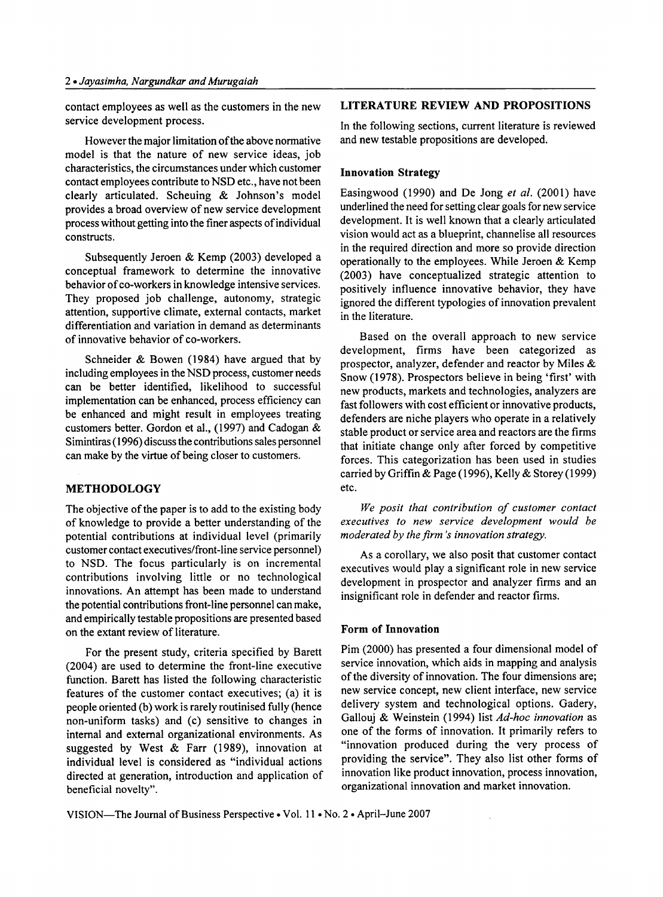contact employees as well as the customers in the new service development process.

However the major limitation of the above normative model is that the nature of new service ideas, job characteristics, the circumstances under which customer contact employees contribute to NSD etc., have not been clearly articulated. Scheuing & Johnson's model provides a broad overview of new service development process without getting into the finer aspects of individual constructs.

Subsequently Jeroen & Kemp (2003) developed a conceptual framework to determine the innovative behavior of co-workers in knowledge intensive services. They proposed job challenge, autonomy, strategic attention, supportive climate, external contacts, market differentiation and variation in demand as determinants of innovative behavior of co-workers.

Schneider & Bowen (1984) have argued that by including employees in the NSD process, customer needs can be better identified, likelihood to successful implementation can be enhanced, process efficiency can be enhanced and might result in employees treating customers better. Gordon et al., (1997) and Cadogan & Simintiras(1996) discuss the contributions sales personnel can make by the virtue of being closer to customers.

# METHODOLOGY

The objective of the paper is to add to the existing body of knowledge to provide a better understanding of the potential contributions at individual level (primarily customer contact executives/front-line service personnel) to NSD. The focus particularly is on incremental contributions involving little or no technological innovations. An attempt has been made to understand the potential contributions front-line personnel can make, and empirically testable propositions are presented based on the extant review of literature.

For the present study, criteria specified by Barett (2004) are used to determine the front-line executive function. Barett has listed the following characteristic features of the customer contact executives; (a) it is people oriented (b) work is rarely routinised fully (hence non-uniform tasks) and (c) sensitive to changes in internal and external organizational environments. As suggested by West & Farr (1989), innovation at individual level is considered as "individual actions directed at generation, introduction and application of beneficial novelty".

#### LITERATURE REVIEW AND PROPOSITIONS

In the following sections, current literature is reviewed and new testable propositions are developed.

#### Innovation Strategy

Easingwood (1990) and De Jong et al. (2001) have underlined the need for setting clear goals for new service development. It is well known that a clearly articulated vision would act as a blueprint, channelise all resources in the required direction and more so provide direction operationally to the employees. While Jeroen & Kemp (2003) have conceptualized strategic attention to positively influence innovative behavior, they have ignored the different typologies of innovation prevalent in the literature.

Based on the overall approach to new service development, firms have been categorized as prospector, analyzer, defender and reactor by Miles & Snow (1978). Prospectors believe in being 'first' with new products, markets and technologies, analyzers are fast followers with cost efficient or innovative products, defenders are niche players who operate in a relatively stable product or service area and reactors are the firms that initiate change only after forced by competitive forces. This categorization has been used in studies carried by Griffin & Page (1996), Kelly & Storey (1999) etc.

*We posit that contribution of customer contact executives to new service development would be moderated by the firm's innovation strategy.*

As a corollary, we also posit that customer contact executives would play a significant role in new service development in prospector and analyzer firms and an insignificant role in defender and reactor firms.

# Form of Innovation

Pim (2000) has presented a four dimensional model of service innovation, which aids in mapping and analysis of the diversity of innovation. The four dimensions are; new service concept, new client interface, new service delivery system and technological options. Gadery, Gallouj & Weinstein (1994) list *Ad-hoc innovation* as one of the forms of innovation. It primarily refers to "innovation produced during the very process of providing the service". They also list other forms of innovation like product innovation, process innovation, organizational innovation and market innovation.

VISION-The Journal of Business Perspective . Vol. 11 . No. 2 . April-June 2007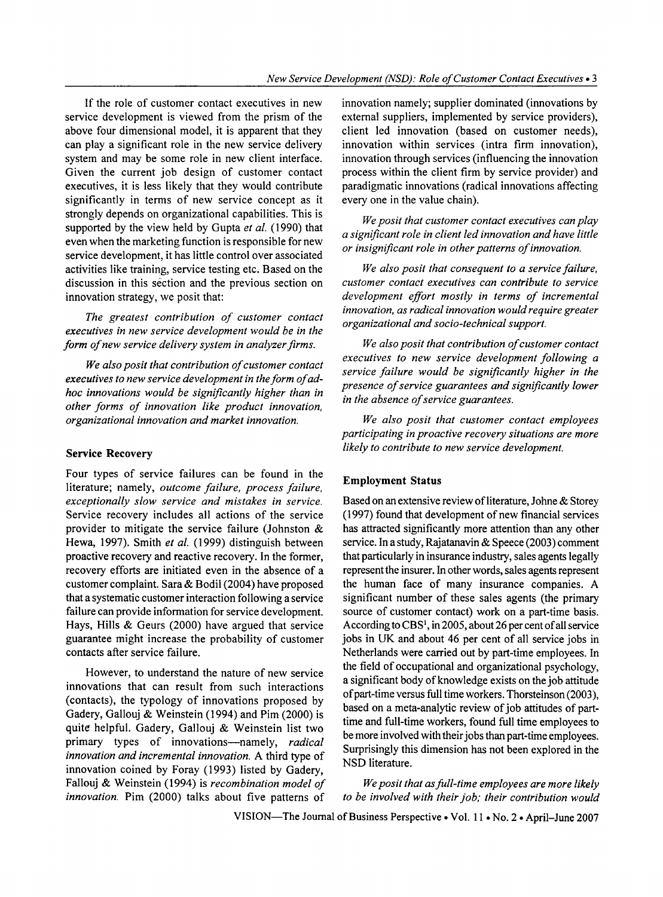If the role of customer contact executives in new service development is viewed from the prism of the above four dimensional model, it is apparent that they can play a significant role in the new service delivery system and may be some role in new client interface. Given the current job design of customer contact executives, it is less likely that they would contribute significantly in terms of new service concept as it strongly depends on organizational capabilities. This is supported by the view held by Gupta *et al.* (1990) that even when the marketing function is responsible for new service development, it has little control over associated activities like training, service testing etc. Based on the discussion in this section and the previous section on innovation strategy, we posit that:

*The greatest contribution of customer contact executives in new service development would be in the form of new service delivery system in analyzer firms.* 

*We also posit that contribution ofcustomer contact executives to new service development in theform ofadhoc innovations would be significantly higher than in other forms of innovation like product innovation, organizational innovation and market innovation.*

Four types of service failures can be found in the literature; namely, *outcome failure, process failure, exceptionally slow service and mistakes in service.* Service recovery includes all actions of the service provider to mitigate the service failure (Johnston & Hewa, 1997). Smith *et al.* (1999) distinguish between proactive recovery and reactive recovery. In the former, recovery efforts are initiated even in the absence of a customer complaint. Sara & Bodil (2004) have proposed that a systematic customer interaction following a service failure can provide information for service development. Hays, Hills & Geurs (2000) have argued that service guarantee might increase the probability of customer contacts after service failure.

However, to understand the nature of new service innovations that can result from such interactions (contacts), the typology of innovations proposed by Gadery, Gallouj & Weinstein (1994) and Pim (2000) is quite helpful. Gadery, Gallouj & Weinstein list two primary types of innovations-namely, *radical innovation and incremental innovation.* A third type of innovation coined by Foray (1993) listed by Gadery, Fallouj & Weinstein (1994) is *recombination model of Weposit that asfull-time employees are more likely innovation.* Pim (2000) talks about five patterns of *to be involved with their job; their contribution would*

innovation namely; supplier dominated (innovations by external suppliers, implemented by service providers), client led innovation (based on customer needs), innovation within services (intra firm innovation), innovation through services (influencing the innovation process within the client firm by service provider) and paradigmatic innovations (radical innovations affecting every one in the value chain).

*Weposit that customer contact executives can play a significant role in client led innovation and have little or insignificant role in other patterns ofinnovation.*

*We also posit that consequent to a service failure, customer contact executives can contribute to service development effort mostly in terms of incremental innovation, as radical innovation would require greater organizational and socio-technical support.*

*We also posit that contribution ofcustomer contact executives to new service development following a service failure would be significantly higher in the presence ofservice guarantees and significantly lower in the absence ofservice guarantees.*

*We also posit that customer contact employees participating in proactive recovery situations are more likely to contribute to new service development.* Service Recovery

#### Employment Status

Based on an extensive review of literature, Johne & Storey (1997) found that development of new financial services has attracted significantly more attention than any other service. In a study, Rajatanavin & Speece (2003) comment that particularly in insurance industry, sales agents legally represent the insurer. In other words, sales agents represent the human face of many insurance companies. A significant number of these sales agents (the primary source of customer contact) work on a part-time basis. According to CBS<sup>1</sup>, in 2005, about 26 per cent of all service jobs in UK and about 46 per cent of all service jobs in Netherlands were carried out by part-time employees. In the field of occupational and organizational psychology, a significant body of knowledge exists on the job attitude ofpart-time versus full time workers. Thorsteinson (2003), based on a meta-analytic review of job attitudes of parttime and full-time workers, found full time employees to be more involved with their jobs than part-time employees. Surprisingly this dimension has not been explored in the NSD literature.

VISION-The Journal of Business Perspective . Vol. 11 . No. 2 . April-June 2007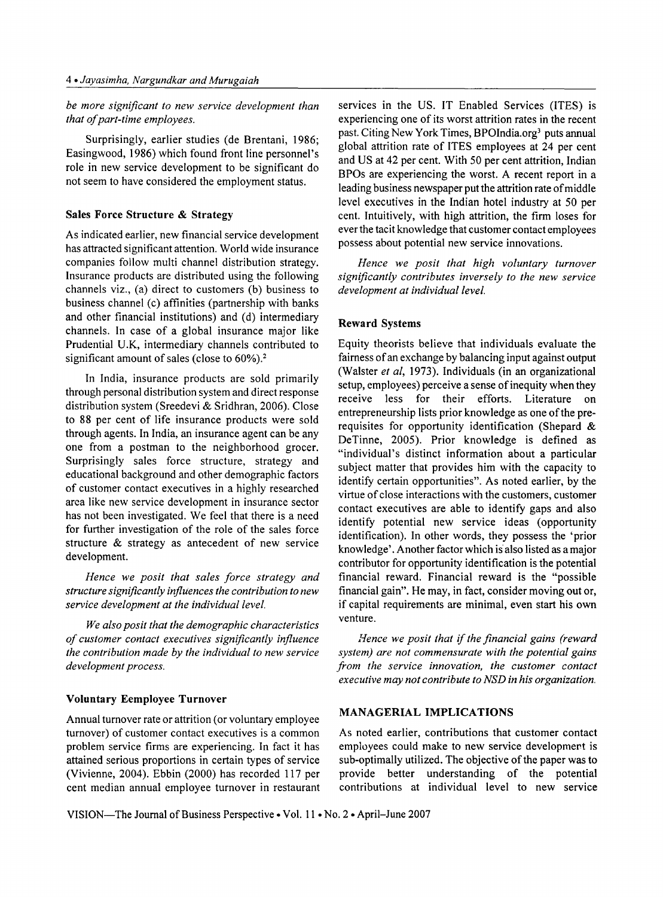# *be more significant to new service development than that of part-time employees.*

Surprisingly, earlier studies (de Brentani, 1986; Easingwood, 1986) which found front line personnel's role in new service development to be significant do not seem to have considered the employment status.

# Sales Force Structure & Strategy

As indicated earlier, new financial service development has attracted significant attention. World wide insurance companies follow multi channel distribution strategy. Insurance products are distributed using the following channels viz., (a) direct to customers (b) business to business channel (c) affinities (partnership with banks and other financial institutions) and (d) intermediary channels. In case of a global insurance major like Prudential U.K, intermediary channels contributed to significant amount of sales (close to  $60\%$ ).<sup>2</sup>

In India, insurance products are sold primarily through personal distribution system and direct response distribution system (Sreedevi & Sridhran, 2006). Close to 88 per cent of life insurance products were sold through agents. In India, an insurance agent can be any one from a postman to the neighborhood grocer. Surprisingly sales force structure, strategy and educational background and other demographic factors of customer contact executives in a highly researched area like new service development in insurance sector has not been investigated. We feel that there is a need for further investigation of the role of the sales force structure & strategy as antecedent of new service development.

*Hence we posit that sales force strategy and structure significantly influences the contribution to new service development at the individualleve/.*

*We also posit that the demographic characteristics of customer contact executives significantly influence the contribution made by the individual to new service development process.*

# Voluntary Eemployee Turnover

Annual turnover rate or attrition (or voluntary employee turnover) of customer contact executives is a common problem service firms are experiencing. In fact it has attained serious proportions in certain types of service (Vivienne, 2004). Ebbin (2000) has recorded 117 per cent median annual employee turnover in restaurant services in the US. IT Enabled Services (ITES) is experiencing one of its worst attrition rates in the recent past. Citing New York Times, BPOIndia.org<sup>3</sup> puts annual global attrition rate of ITES employees at 24 per cent and US at 42 per cent. With 50 per cent attrition, Indian BPOs are experiencing the worst. A recent report in a leading business newspaper put the attrition rate of middle level executives in the Indian hotel industry at 50 per cent. Intuitively, with high attrition, the firm loses for everthe tacit knowledge that customer contact employees possess about potential new service innovations.

*Hence we posit that high voluntary turnover significantly contributes inversely to the new service development at individualleve/.*

# Reward Systems

Equity theorists believe that individuals evaluate the fairness of an exchange by balancing input against output (Walster *et ai,* 1973). Individuals (in an organizational setup, employees) perceive a sense of inequity when they receive less for their efforts. Literature on entrepreneurship lists prior knowledge as one of the prerequisites for opportunity identification (Shepard & DeTinne, 2005). Prior knowledge is defined as "individual's distinct information about a particular subject matter that provides him with the capacity to identify certain opportunities". As noted earlier, by the virtue of close interactions with the customers, customer contact executives are able to identify gaps and also identify potential new service ideas (opportunity identification). In other words, they possess the 'prior knowledge' . Another factor which is also listed as a major contributor for opportunity identification is the potential financial reward. Financial reward is the "possible financial gain". He may, in fact, consider moving out or, if capital requirements are minimal, even start his own venture.

*Hence we posit that if the financial gains (reward system) are not commensurate with the potential gains from the service innovation, the customer contact executive may not contribute to NSD in his organization.*

# MANAGERIAL IMPLICATIONS

As noted earlier, contributions that customer contact employees could make to new service development is sub-optimally utilized. The objective of the paper was to provide better understanding of the potential contributions at individual level to new service

VISION—The Journal of Business Perspective • Vol. 11 • No. 2 • April-June 2007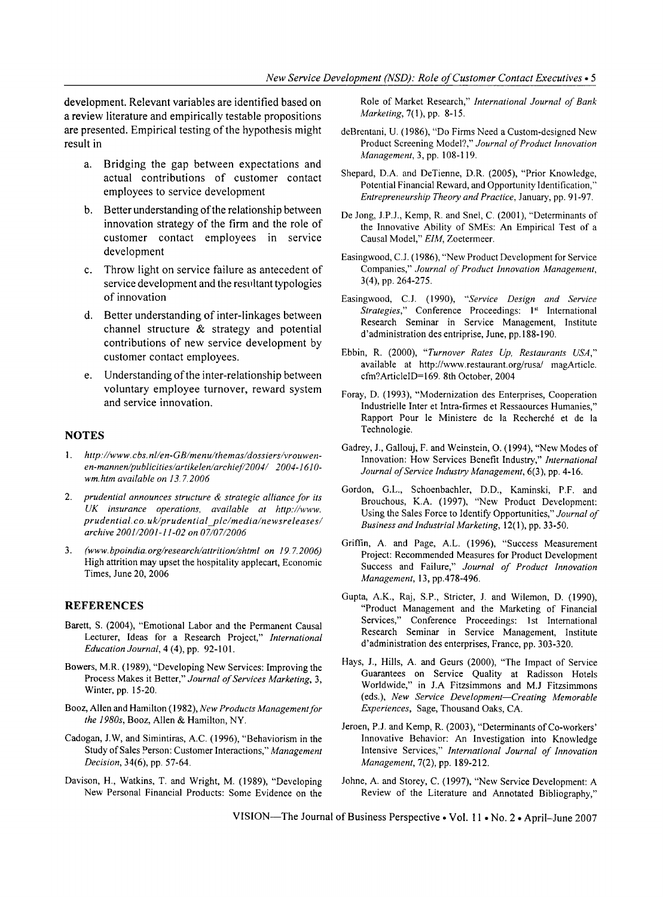development. Relevant variables are identified based on a review literature and empirically testable propositions are presented. Empirical testing of the hypothesis might result in

- a. Bridging the gap between expectations and actual contributions of customer contact employees to service development
- b. Better understanding of the relationship between innovation strategy of the firm and the role of customer contact employees in service development
- c. Throw light on service failure as antecedent of service development and the resultant typologies of innovation
- d. Better understanding of inter-linkages between channel structure & strategy and potential contributions of new service development by customer contact employees.
- e. Understanding ofthe inter-relationship between voluntary employee turnover, reward system and service innovation.

#### **NOTES**

- 1. *http://www.cbs.nl/en-GB/menu/themas/dossiers/vrouwenen-mannen/publicities/artikelen/archief/2004/ 2004-* 1*610 wm.htm available on 13.7.2006*
- *2. prudential announces structure* & *strategic alliance for its UK insurance operations, available at http://www. prudential. co. uk/prudentialylc/media/newsreleases/ archive 2001/2001-11-02 on 07/07/2006*
- *3. (www.bpoindia.org/research/attrition/shtml on 19.7.2006)* High attrition may upset the hospitality applecart, Economic Times, June 20, 2006

# **REFERENCES**

- Barett, S. (2004), "Emotional Labor and the Permanent Causal Lecturer, Ideas for a Research Project," *International Education Journal,* 4 (4), pp. 92-101.
- Bowers, M.R. (1989), "Developing New Services: Improving the Process Makes it Better," Journal of Services Marketing, 3, Winter, pp. 15-20.
- Booz, Allen and Hamilton (1982), *New Products Management for the 1980s,* Booz, Allen & Hamilton, NY.
- Cadogan, 1.W, and Simintiras, A.C. (1996), "Behaviorism in the Study ofSales Person: Customer Interactions," *Management Decision,* 34(6), pp. 57-64.
- Davison, H., Watkins, T. and Wright, M. (1989), "Developing New Personal Financial Products: Some Evidence on the

Role of Market Research," *International Journal of Bank Marketing,* 7(1), pp. 8-15.

- deBrentani, U. (1986), "Do Firms Need a Custom-designed New Product Screening Model?," Journal of Product Innovation *Management,* 3, pp. 108-119.
- Shepard, D.A. and DeTienne, D.R. (2005), "Prior Knowledge, Potential Financial Reward, and Opportunity Identification,' *Entrepreneurship Theory and Practice,* January, pp. 91-97.
- De Jong, J.PJ., Kemp, R. and Snel, C. (2001), "Determinants of the Innovative Ability of SMEs: An Empirical Test of a Causal Model," ElM, Zoetermeer.
- Easingwood, CJ. (1986), "New Product Development for Service Companies," *Journal of Product Innovation Management,* 3(4), pp. 264-275.
- Easingwood, CJ. (1990), *"Service Design and Service Strategies,*" Conference Proceedings: <sup>1st</sup> International Research Seminar in Service Management, Institute d'administration des entriprise, June, pp.188-190.
- Ebbin, R. (2000), *"Turnover Rates Up, Restaurants USA,"* available at http://www.restaurant.org/rusa/ magArticle. cfm?ArticleID=169. 8th October, 2004
- Foray, D. (1993), "Modernization des Enterprises, Cooperation Industrielle Inter et Intra-firmes et Ressaources Humanies," Rapport Pour Ie Ministere de la Recherche et de la Technologie.
- Gadrey, 1., Gallouj, F. and Weinstein, O. (1994), "New Modes of Innovation: How Services Benefit Industry," *International Journal ofService Industry Management,* 6(3), pp. 4-16.
- Gordon, G.L., Schoenbachler, D.O., Kaminski, P.F. and Brouchous, K.A. (1997), "New Product Development: Using the Sales Force to Identify Opportunities," *Journal of Business and Industrial Marketing,* 12(1), pp. 33-50.
- Griffin, A. and Page, A.L. (1996), "Success Measurement Project: Recommended Measures for Product Development Success and Failure," *Journal of Product Innovation Management,* 13, pp.478-496.
- Gupta, A.K., Raj, S.P., Stricter, 1. and Wilemon, D. (1990), "Product Management and the Marketing of Financial Services," Conference Proceedings: 1st International Research Seminar in Service Management, Institute d'administration des enterprises, France, pp. 303-320.
- Hays, J., Hills, A. and Geurs (2000), "The Impact of Service Guarantees on Service Quality at Radisson Hotels Worldwide," in I.A Fitzsimmons and MJ Fitzsimmons (eds.), *New Service Development-Creating Memorable Experiences,* Sage, Thousand Oaks, CA.
- Jeroen, P.J. and Kemp, R. (2003), "Determinants of Co-workers' Innovative Behavior: An Investigation into Knowledge Intensive Services," *International Journal of Innovation Management,* 7(2), pp. 189-212.
- Johne, A. and Storey, C. (1997), "New Service Development: A Review of the Literature and Annotated Bibliography,"

VISION-The Journal of Business Perspective . Vol. 11 . No. 2 . April-June 2007